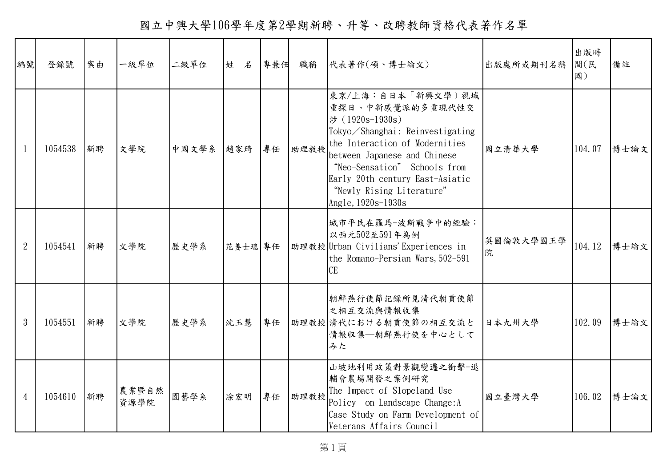國立中興大學106學年度第2學期新聘、升等、改聘教師資格代表著作名單

| 編號             | 登錄號     | 案由 | 一級單位          | 二級單位  | 姓 名     | 專兼任 | 職稱   | 代表著作(碩、博士論文)                                                                                                                                                                                                                                                                        | 出版處所或期刊名稱      | 出版時<br>間(民<br>國) | 備註   |
|----------------|---------|----|---------------|-------|---------|-----|------|-------------------------------------------------------------------------------------------------------------------------------------------------------------------------------------------------------------------------------------------------------------------------------------|----------------|------------------|------|
| $\mathbf{1}$   | 1054538 | 新聘 | 文學院           | 中國文學系 | 趙家琦     | 專任  | 助理教授 | 東京/上海:自日本「新興文學〕視域<br>重探日、中新感覺派的多重現代性交<br>涉 (1920s-1930s)<br>Tokyo/Shanghai: Reinvestigating<br>the Interaction of Modernities<br>between Japanese and Chinese<br>"Neo-Sensation" Schools from<br>Early 20th century East-Asiatic<br>"Newly Rising Literature"<br>Angle, 1920s-1930s | 國立清華大學         | 104.07           | 博士論文 |
| $\overline{2}$ | 1054541 | 新聘 | 文學院           | 歷史學系  | 范姜士璁 專任 |     |      | 城市平民在羅馬-波斯戰爭中的經驗:<br>以西元502至591年為例<br> 助理教授 Urban Civilians' Experiences in<br>the Romano-Persian Wars, 502-591<br><b>CE</b>                                                                                                                                                        | 英國倫敦大學國王學<br>院 | 104.12           | 博士論文 |
| 3              | 1054551 | 新聘 | 文學院           | 歷史學系  | 沈玉慧     | 專任  |      | 朝鮮燕行使節記錄所見清代朝貢使節<br>之相互交流與情報收集<br>助理教授 清代における朝貢使節の相互交流と<br>情報収集–朝鮮燕行使を中心として<br>みた                                                                                                                                                                                                   | 日本九州大學         | 102.09           | 博士論文 |
| $\overline{4}$ | 1054610 | 新聘 | 農業暨自然<br>資源學院 | 園藝學系  | 涂宏明     | 專任  | 助理教授 | 山坡地利用政策對景觀變遷之衝擊-退<br>輔會農場開發之案例研究<br>The Impact of Slopeland Use<br>Policy on Landscape Change: A<br>Case Study on Farm Development of<br>Veterans Affairs Council                                                                                                                   | 國立臺灣大學         | 106.02           | 博士論文 |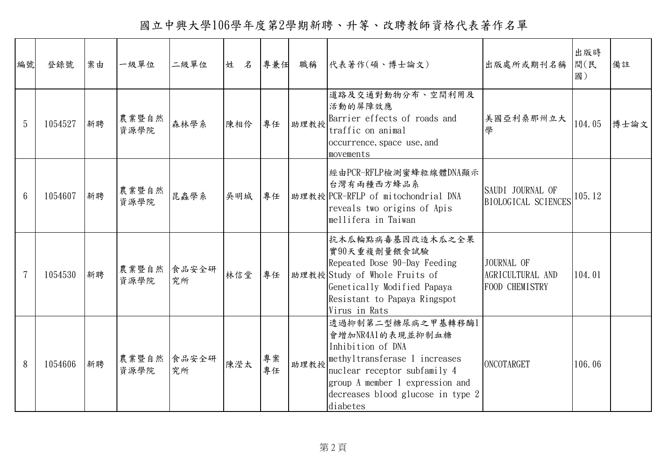國立中興大學106學年度第2學期新聘、升等、改聘教師資格代表著作名單

| 編號              | 登錄號     | 案由 | 一級單位          | 二級單位        | 姓<br>名 | 專兼任      | 職稱   | 代表著作(碩、博士論文)                                                                                                                                                                                                    | 出版處所或期刊名稱                                        | 出版時<br>間(民<br>國) | 備註   |
|-----------------|---------|----|---------------|-------------|--------|----------|------|-----------------------------------------------------------------------------------------------------------------------------------------------------------------------------------------------------------------|--------------------------------------------------|------------------|------|
| 5               | 1054527 | 新聘 | 農業暨自然<br>資源學院 | 森林學系        | 陳相伶    | 專任       | 助理教授 | 道路及交通對動物分布、空間利用及<br>活動的屏障效應<br>Barrier effects of roads and<br>traffic on animal<br>occurrence, space use, and<br>movements                                                                                     | 美國亞利桑那州立大<br>學                                   | 104.05           | 博士論文 |
| $6\phantom{1}6$ | 1054607 | 新聘 | 農業暨自然<br>資源學院 | 昆蟲學系        | 吳明城    | 專任       |      | 經由PCR-RFLP檢測蜜蜂粒線體DNA顯示<br>台灣有兩種西方蜂品系<br>助理教授 PCR-RFLP of mitochondrial DNA<br>reveals two origins of Apis<br>mellifera in Taiwan                                                                                | SAUDI JOURNAL OF<br><b>BIOLOGICAL SCIENCES</b>   | 105.12           |      |
| $\overline{7}$  | 1054530 | 新聘 | 農業暨自然<br>資源學院 | 食品安全研<br>究所 | 林信堂    | 專任       |      | 抗木瓜輪點病毒基因改造木瓜之全果<br>實90天重複劑量餵食試驗<br>Repeated Dose 90-Day Feeding<br>助理教授 Study of Whole Fruits of<br>Genetically Modified Papaya<br>Resistant to Papaya Ringspot<br>Virus in Rats                               | JOURNAL OF<br>AGRICULTURAL AND<br>FOOD CHEMISTRY | 104.01           |      |
| 8               | 1054606 | 新聘 | 農業暨自然<br>資源學院 | 食品安全研<br>究所 | 陳瀅太    | 專案<br>專任 | 助理教授 | 透過抑制第二型糖尿病之甲基轉移酶1<br>會增加NR4A1的表現並抑制血糖<br>Inhibition of DNA<br>methyltransferase 1 increases<br>nuclear receptor subfamily 4<br>group A member 1 expression and<br>decreases blood glucose in type 2<br>diabetes | ONCOTARGET                                       | 106.06           |      |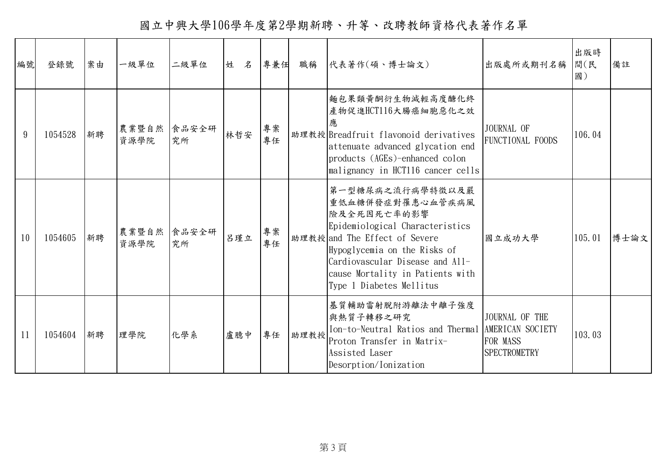國立中興大學106學年度第2學期新聘、升等、改聘教師資格代表著作名單

| 編號 | 登錄號     | 案由 | 一級單位          | 二級單位        | 姓<br>名 | 專兼任      | 職稱   | 代表著作(碩、博士論文)                                                                                                                                                                                                                                               | 出版處所或期刊名稱                                         | 出版時<br>間(民<br>國) | 備註   |
|----|---------|----|---------------|-------------|--------|----------|------|------------------------------------------------------------------------------------------------------------------------------------------------------------------------------------------------------------------------------------------------------------|---------------------------------------------------|------------------|------|
| 9  | 1054528 | 新聘 | 農業暨自然<br>資源學院 | 食品安全研<br>究所 | 林哲安    | 專案<br>專任 |      | 麵包果類黃酮衍生物減輕高度醣化終<br>產物促進HCT116大腸癌細胞惡化之效<br>應<br>助理教授 Breadfruit flavonoid derivatives<br>attenuate advanced glycation end<br>products (AGEs)-enhanced colon<br>malignancy in HCT116 cancer cells                                                           | JOURNAL OF<br><b>FUNCTIONAL FOODS</b>             | 106.04           |      |
| 10 | 1054605 | 新聘 | 農業暨自然<br>資源學院 | 食品安全研<br>究所 | 呂瑾立    | 專案<br>專任 |      | 第一型糖尿病之流行病學特徵以及嚴<br>重低血糖併發症對罹患心血管疾病風<br>險及全死因死亡率的影響<br>Epidemiological Characteristics<br>助理教授 and The Effect of Severe<br>Hypoglycemia on the Risks of<br>Cardiovascular Disease and All-<br>cause Mortality in Patients with<br>Type 1 Diabetes Mellitus | 國立成功大學                                            | 105.01           | 博士論文 |
| 11 | 1054604 | 新聘 | 理學院           | 化學系         | 盧臆中    | 專任       | 助理教授 | 基質輔助雷射脫附游離法中離子強度<br>與熱質子轉移之研究<br>Ion-to-Neutral Ratios and Thermal AMERICAN SOCIETY<br>Proton Transfer in Matrix-<br>Assisted Laser<br>Desorption/Ionization                                                                                               | JOURNAL OF THE<br>FOR MASS<br><b>SPECTROMETRY</b> | 103.03           |      |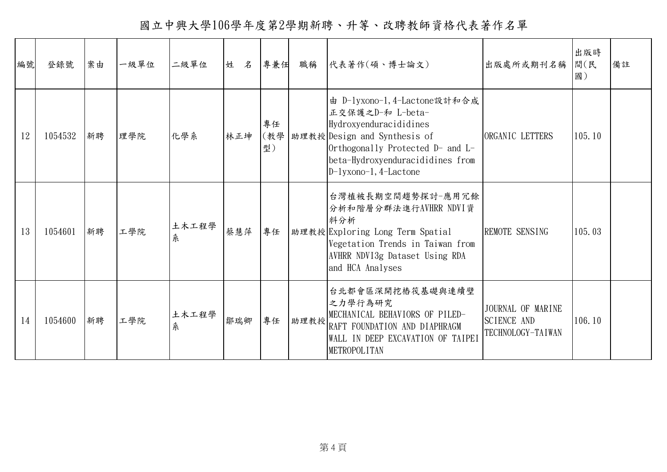國立中興大學106學年度第2學期新聘、升等、改聘教師資格代表著作名單

| 編號 | 登錄號     | 案由 | 一級單位 | 二級單位       | 姓<br>名 | 專兼任             | 職稱   | 代表著作(碩、博士論文)                                                                                                                                                                                                  | 出版處所或期刊名稱                                                    | 出版時<br>間(民<br>國) | 備註 |
|----|---------|----|------|------------|--------|-----------------|------|---------------------------------------------------------------------------------------------------------------------------------------------------------------------------------------------------------------|--------------------------------------------------------------|------------------|----|
| 12 | 1054532 | 新聘 | 理學院  | 化學系        | 林正坤    | 專任<br>(教學<br>型) |      | 由 D-lyxono-1, 4-Lactone設計和合成<br>正交保護之D-和 L-beta-<br>Hydroxyenduracididines<br>助理教授 Design and Synthesis of<br>Orthogonally Protected D- and L-<br>beta-Hydroxyenduracididines from<br>$D-lyxono-1, 4-Lactone$ | ORGANIC LETTERS                                              | 105.10           |    |
| 13 | 1054601 | 新聘 | 工學院  | 土木工程學<br>糸 | 蔡慧萍    | 專任              |      | 台灣植被長期空間趨勢探討一應用冗餘<br>分析和階層分群法進行AVHRR NDVI資<br>料分析<br>助理教授 Exploring Long Term Spatial<br>Vegetation Trends in Taiwan from<br>AVHRR NDVI3g Dataset Using RDA<br>and HCA Analyses                               | REMOTE SENSING                                               | 105.03           |    |
| 14 | 1054600 | 新聘 | 工學院  | 土木工程學<br>糸 | 鄒瑞卿    | 專任              | 助理教授 | 台北都會區深開挖樁筏基礎與連續壁<br>之力學行為研究<br>MECHANICAL BEHAVIORS OF PILED-<br>RAFT FOUNDATION AND DIAPHRAGM<br>WALL IN DEEP EXCAVATION OF TAIPEI<br><b>METROPOLITAN</b>                                                    | JOURNAL OF MARINE<br><b>SCIENCE AND</b><br>TECHNOLOGY-TAIWAN | 106.10           |    |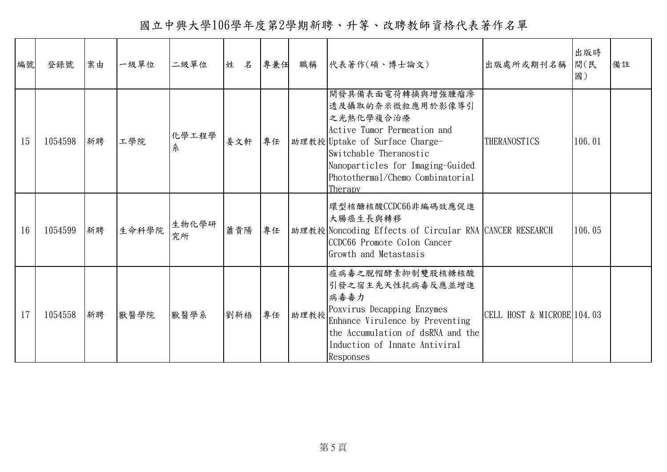國立中興大學106學年度第2學期新聘、升等、改聘教師資格代表著作名單

| 編號 | 登錄號     | 案由 | 一級單位  | 二級單位        | 姓<br>名 | 專兼任 | 職稱   | 代表著作(碩、博士論文)                                                                                                                                                                                                                    | 出版處所或期刊名稱                  | 出版時<br>間(民<br>國) | 備註 |
|----|---------|----|-------|-------------|--------|-----|------|---------------------------------------------------------------------------------------------------------------------------------------------------------------------------------------------------------------------------------|----------------------------|------------------|----|
| 15 | 1054598 | 新聘 | 工學院   | 化學工程學<br>糸  | 姜文軒    | 專任  |      | 開發具備表面電荷轉換與增強腫瘤滲<br>透及攝取的奈米微粒應用於影像導引<br>之光熱化學複合治療<br>Active Tumor Permeation and<br>助理教授 Uptake of Surface Charge-<br>Switchable Theranostic<br>Nanoparticles for Imaging-Guided<br>Photothermal/Chemo Combinatorial<br>Therapy | THERANOSTICS               | 106.01           |    |
| 16 | 1054599 | 新聘 | 生命科學院 | 生物化學研<br>究所 | 蕭貴陽    | 專任  |      | 環型核醣核酸CCDC66非編碼效應促進<br>大腸癌生長與轉移<br>助理教授 Noncoding Effects of Circular RNA CANCER RESEARCH<br>CCDC66 Promote Colon Cancer<br>Growth and Metastasis                                                                               |                            | 106.05           |    |
| 17 | 1054558 | 新聘 | 獸醫學院  | 獸醫學系        | 劉新梧    | 專任  | 助理教授 | 痘病毒之脫帽酵素抑制雙股核糖核酸<br>引發之宿主先天性抗病毒反應並增進<br>病毒毒力<br>Poxvirus Decapping Enzymes<br>Enhance Virulence by Preventing<br>the Accumulation of dsRNA and the<br>Induction of Innate Antiviral<br>Responses                                | CELL HOST & MICROBE 104.03 |                  |    |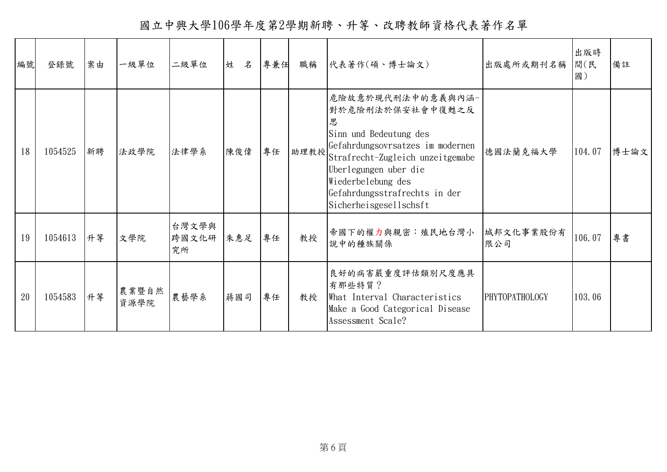國立中興大學106學年度第2學期新聘、升等、改聘教師資格代表著作名單

| 編號 | 登錄號     | 案由 | 一級單位          | 二級單位                 | 姓<br>名 | 專兼任 | 職稱   | 代表著作(碩、博士論文)                                                                                                                                                                                                                                           | 出版處所或期刊名稱             | 出版時<br>間(民<br>國) | 備註   |
|----|---------|----|---------------|----------------------|--------|-----|------|--------------------------------------------------------------------------------------------------------------------------------------------------------------------------------------------------------------------------------------------------------|-----------------------|------------------|------|
| 18 | 1054525 | 新聘 | 法政學院          | 法律學系                 | 陳俊偉    | 專任  | 助理教授 | 危險故意於現代刑法中的意義與內涵-<br>對於危險刑法於保安社會中復甦之反<br>思<br>Sinn und Bedeutung des<br>Gefahrdungsovrsatzes im modernen<br>Strafrecht-Zugleich unzeitgemabe<br>Uberlegungen uber die<br>Wiederbelebung des<br>Gefahrdungsstrafrechts in der<br>Sicherheisgesellschsft | 德國法蘭克福大學              | 104.07           | 博士論文 |
| 19 | 1054613 | 升等 | 文學院           | 台灣文學與<br>跨國文化研<br>究所 | 朱惠足    | 專任  | 教授   | 帝國下的權力與親密:殖民地台灣小<br>說中的種族關係                                                                                                                                                                                                                            | 城邦文化事業股份有<br>限公司      | 106.07           | 專書   |
| 20 | 1054583 | 升等 | 農業暨自然<br>資源學院 | 農藝學系                 | 蔣國司    | 專任  | 教授   | 良好的病害嚴重度評估類別尺度應具<br>有那些特質?<br>What Interval Characteristics<br>Make a Good Categorical Disease<br>Assessment Scale?                                                                                                                                    | <b>PHYTOPATHOLOGY</b> | 103.06           |      |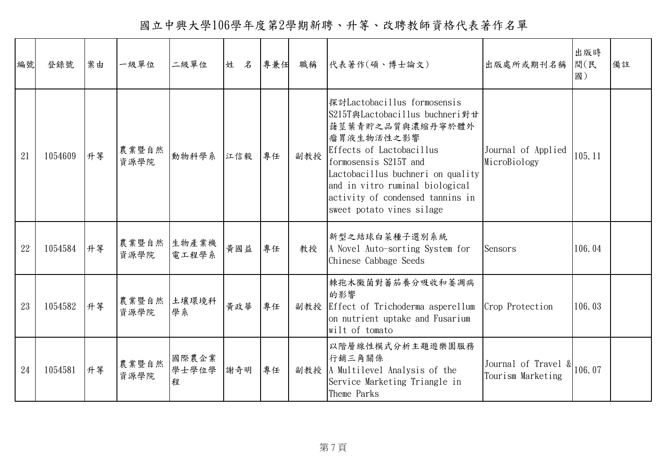國立中興大學106學年度第2學期新聘、升等、改聘教師資格代表著作名單

| 編號 | 登錄號     | 案由 | 一級單位          | 二級單位                | 姓 名 | 專兼任 | 職稱  | 代表著作(碩、博士論文)                                                                                                                                                                                                                                                                                  | 出版處所或期刊名稱                                                   | 出版時<br>間(民<br>國) | 備註 |
|----|---------|----|---------------|---------------------|-----|-----|-----|-----------------------------------------------------------------------------------------------------------------------------------------------------------------------------------------------------------------------------------------------------------------------------------------------|-------------------------------------------------------------|------------------|----|
| 21 | 1054609 | 升等 | 農業暨自然<br>資源學院 | 動物科學系               | 江信毅 | 專任  | 副教授 | 探討Lactobacillus formosensis<br>S215T與Lactobacillus buchneri對甘<br>藷莖葉青貯之品質與濃縮丹寧於體外<br>瘤胃液生物活性之影響<br>Effects of Lactobacillus<br>formosensis S215T and<br>Lactobacillus buchneri on quality<br>and in vitro ruminal biological<br>activity of condensed tannins in<br>sweet potato vines silage | Journal of Applied<br>MicroBiology                          | 105.11           |    |
| 22 | 1054584 | 升等 | 農業暨自然<br>資源學院 | 生物產業機<br>電工程學系      | 黄國益 | 專任  | 教授  | 新型之結球白菜種子選別系統<br>A Novel Auto-sorting System for<br>Chinese Cabbage Seeds                                                                                                                                                                                                                     | Sensors                                                     | 106.04           |    |
| 23 | 1054582 | 升等 | 農業暨自然<br>資源學院 | 土壤環境科<br>學系         | 黃政華 | 專任  |     | 棘孢木黴菌對蕃茄養分吸收和萎凋病<br>的影響<br>副教授 Effect of Trichoderma asperellum<br>on nutrient uptake and Fusarium<br>wilt of tomato                                                                                                                                                                          | Crop Protection                                             | 106.03           |    |
| 24 | 1054581 | 升等 | 農業暨自然<br>資源學院 | 國際農企業<br>學士學位學<br>程 | 謝奇明 | 專任  |     | 以階層線性模式分析主題遊樂園服務<br>行銷三角關係<br>副教授 A Multilevel Analysis of the<br>Service Marketing Triangle in<br>Theme Parks                                                                                                                                                                                | Journal of Travel $\frac{1}{2}$ 106.07<br>Tourism Marketing |                  |    |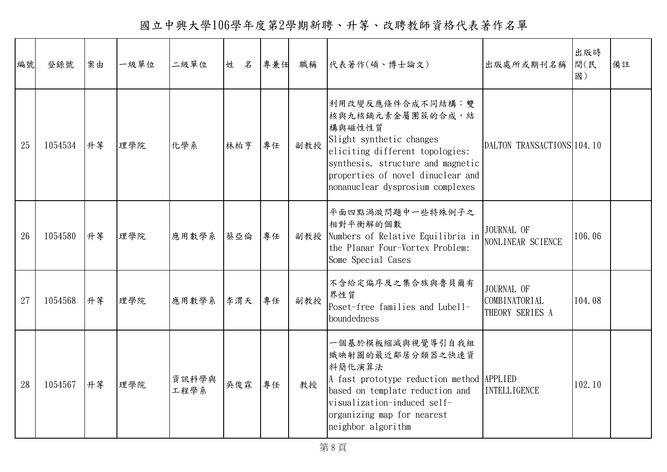國立中興大學106學年度第2學期新聘、升等、改聘教師資格代表著作名單

| 編號 | 登錄號     | 案由 | 一級單位 | 二級單位          | 姓 名 | 專兼任 | 職稱  | 代表著作(碩、博士論文)                                                                                                                                                                                                                | 出版處所或期刊名稱                                             | 出版時<br>間(民<br>國) | 備註 |
|----|---------|----|------|---------------|-----|-----|-----|-----------------------------------------------------------------------------------------------------------------------------------------------------------------------------------------------------------------------------|-------------------------------------------------------|------------------|----|
| 25 | 1054534 | 升等 | 理學院  | 化學系           | 林柏亨 | 專任  | 副教授 | 利用改變反應條件合成不同結構:雙<br>核與九核鏑元素金屬團簇的合成,結<br>構與磁性性質<br>Slight synthetic changes<br>eliciting different topologies:<br>synthesis, structure and magnetic<br>properties of novel dinuclear and<br>nonanuclear dysprosium complexes | DALTON TRANSACTIONS 104.10                            |                  |    |
| 26 | 1054580 | 升等 | 理學院  | 應用數學系         | 蔡亞倫 | 專任  |     | 平面四點渦漩問題中一些特殊例子之<br>相對平衡解的個數<br>副教授 Numbers of Relative Equilibria in<br>the Planar Four-Vortex Problem:<br>Some Special Cases                                                                                              | JOURNAL OF<br>NONLINEAR SCIENCE                       | 106.06           |    |
| 27 | 1054568 | 升等 | 理學院  | 應用數學系         | 李渭天 | 專任  | 副教授 | 不含給定偏序及之集合族與魯貝爾有<br>界性質<br>Poset-free families and Lubell-<br>boundedness                                                                                                                                                   | JOURNAL OF<br><b>COMBINATORIAL</b><br>THEORY SERIES A | 104.08           |    |
| 28 | 1054567 | 升等 | 理學院  | 資訊科學與<br>工程學系 | 吳俊霖 | 專任  | 教授  | 一個基於模板縮減與視覺導引自我組<br>織映射圖的最近鄰居分類器之快速資<br>料簡化演算法<br>A fast prototype reduction method APPLIED<br>based on template reduction and<br>visualization-induced self-<br>organizing map for nearest<br>neighbor algorithm           | <b>INTELLIGENCE</b>                                   | 102.10           |    |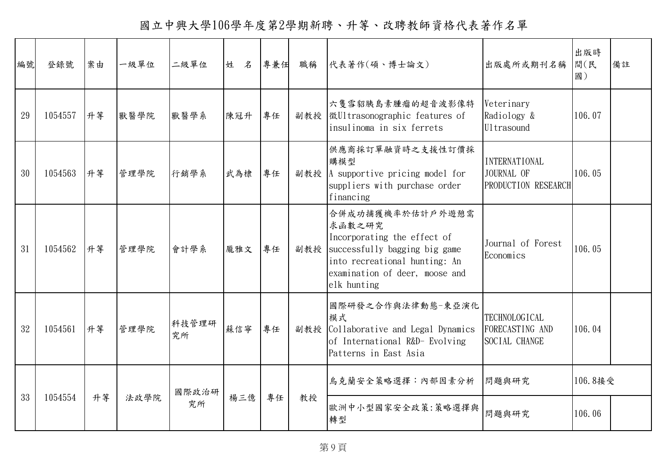國立中興大學106學年度第2學期新聘、升等、改聘教師資格代表著作名單

| 編號 | 登錄號     | 案由 | 一級單位 | 二級單位        | 姓<br>$\mathcal{Z}$ | 專兼任 | 職稱  | 代表著作(碩、博士論文)                                                                                                                                                                 | 出版處所或期刊名稱                                                 | 出版時<br>間(民<br>國) | 備註 |
|----|---------|----|------|-------------|--------------------|-----|-----|------------------------------------------------------------------------------------------------------------------------------------------------------------------------------|-----------------------------------------------------------|------------------|----|
| 29 | 1054557 | 升等 | 獸醫學院 | 獸醫學系        | 陳冠升                | 專任  |     | 六隻雪貂胰島素腫瘤的超音波影像特<br>副教授 徴Ultrasonographic features of<br>insulinoma in six ferrets                                                                                           | Veterinary<br>Radiology &<br>Ultrasound                   | 106.07           |    |
| 30 | 1054563 | 升等 | 管理學院 | 行銷學系        | 武為棣                | 專任  | 副教授 | 供應商採訂單融資時之支援性訂價採<br>購模型<br>A supportive pricing model for<br>suppliers with purchase order<br>financing                                                                      | <b>INTERNATIONAL</b><br>JOURNAL OF<br>PRODUCTION RESEARCH | 106.05           |    |
| 31 | 1054562 | 升等 | 管理學院 | 會計學系        | 龐雅文                | 專任  | 副教授 | 合併成功捕獲機率於估計戶外遊憩需<br>求函數之研究<br>Incorporating the effect of<br>successfully bagging big game<br>into recreational hunting: An<br>examination of deer, moose and<br>elk hunting | Journal of Forest<br>Economics                            | 106.05           |    |
| 32 | 1054561 | 升等 | 管理學院 | 科技管理研<br>究所 | 蘇信寧                | 專任  | 副教授 | 國際研發之合作與法律動態-東亞演化<br>模式<br>Collaborative and Legal Dynamics<br>of International R&D- Evolving<br>Patterns in East Asia                                                       | <b>TECHNOLOGICAL</b><br>FORECASTING AND<br>SOCIAL CHANGE  | 106.04           |    |
|    |         |    |      | 國際政治研       |                    |     |     | 烏克蘭安全策略選擇:內部因素分析                                                                                                                                                             | 問題與研究                                                     | 106.8接受          |    |
| 33 | 1054554 | 升等 | 法政學院 | 究所          | 楊三億                | 專任  | 教授  | 歐洲中小型國家安全政策:策略選擇與<br>轉型                                                                                                                                                      | 問題與研究                                                     | 106.06           |    |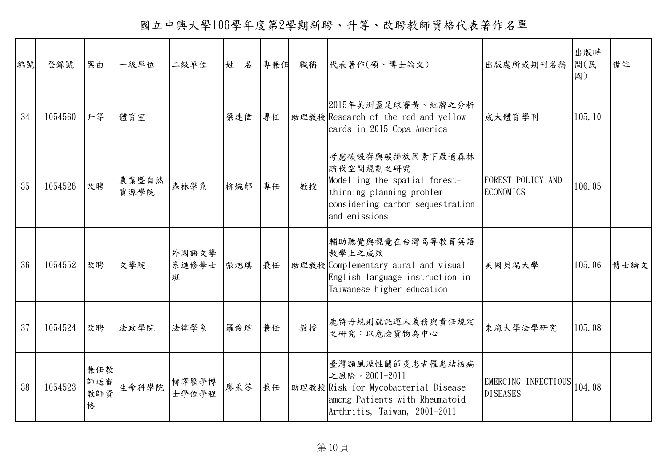國立中興大學106學年度第2學期新聘、升等、改聘教師資格代表著作名單

| 編號 | 登錄號     | 案由                     | 一級單位          | 二級單位                | 姓 名 | 專兼任 | 職稱 | 代表著作(碩、博士論文)                                                                                                                                     | 出版處所或期刊名稱                                     | 出版時<br>間(民<br>國) | 備註   |
|----|---------|------------------------|---------------|---------------------|-----|-----|----|--------------------------------------------------------------------------------------------------------------------------------------------------|-----------------------------------------------|------------------|------|
| 34 | 1054560 | 升等                     | 體育室           |                     | 梁建偉 | 專任  |    | 2015年美洲盃足球賽黃、紅牌之分析<br>助理教授 Research of the red and yellow<br>cards in 2015 Copa America                                                          | 成大體育學刊                                        | 105.10           |      |
| 35 | 1054526 | 改聘                     | 農業暨自然<br>資源學院 | 森林學系                | 柳婉郁 | 專任  | 教授 | 考慮碳吸存與碳排放因素下最適森林<br>疏伐空間規劃之研究<br>Modelling the spatial forest-<br>thinning planning problem<br>considering carbon sequestration<br>and emissions | <b>FOREST POLICY AND</b><br><b>ECONOMICS</b>  | 106.05           |      |
| 36 | 1054552 | 改聘                     | 文學院           | 外國語文學<br>系進修學士<br>班 | 張旭琪 | 兼任  |    | 輔助聽覺與視覺在台灣高等教育英語<br>教學上之成效<br>助理教授 Complementary aural and visual<br>English language instruction in<br>Taiwanese higher education               | 美國貝瑞大學                                        | 105.06           | 博士論文 |
| 37 | 1054524 | 改聘                     | 法政學院          | 法律學系                | 羅俊瑋 | 兼任  | 教授 | 鹿特丹規則就託運人義務與責任規定<br>之研究:以危險貨物為中心                                                                                                                 | 東海大學法學研究                                      | 105.08           |      |
| 38 | 1054523 | 兼任教<br>師送審<br>教師資<br>格 | 生命科學院         | 轉譯醫學博<br>士學位學程      | 廖采苓 | 兼任  |    | 臺灣類風溼性關節炎患者罹患結核病<br>之風險, 2001-2011<br>助理教授 Risk for Mycobacterial Disease<br>among Patients with Rheumatoid<br>Arthritis, Taiwan, 2001-2011      | EMERGING INFECTIOUS 104.08<br><b>DISEASES</b> |                  |      |